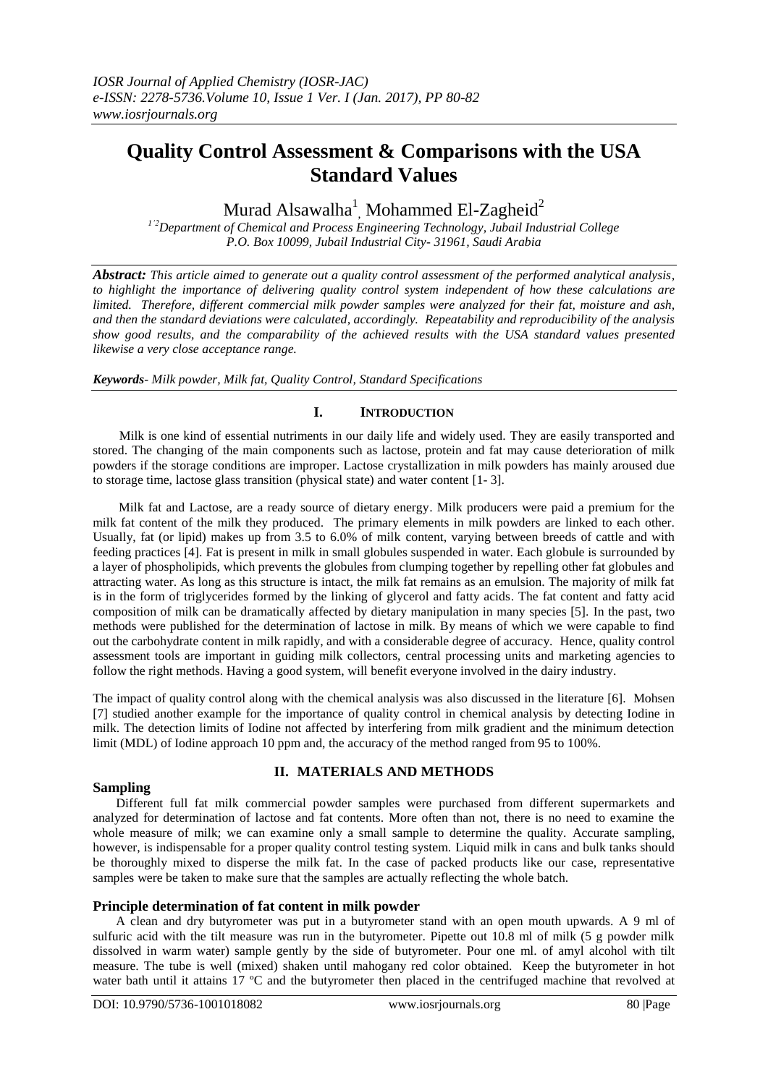# **Quality Control Assessment & Comparisons with the USA Standard Values**

Murad Alsawalha $^{\rm l}$ , Mohammed El-Zagheid $^{\rm 2}$ 

*1'2Department of Chemical and Process Engineering Technology, Jubail Industrial College P.O. Box 10099, Jubail Industrial City- 31961, Saudi Arabia*

*Abstract: This article aimed to generate out a quality control assessment of the performed analytical analysis, to highlight the importance of delivering quality control system independent of how these calculations are limited. Therefore, different commercial milk powder samples were analyzed for their fat, moisture and ash, and then the standard deviations were calculated, accordingly. Repeatability and reproducibility of the analysis show good results, and the comparability of the achieved results with the USA standard values presented likewise a very close acceptance range.*

*Keywords- Milk powder, Milk fat, Quality Control, Standard Specifications* 

# **I. INTRODUCTION**

 Milk is one kind of essential nutriments in our daily life and widely used. They are easily transported and stored. The changing of the main components such as lactose, protein and fat may cause deterioration of milk powders if the storage conditions are improper. Lactose crystallization in milk powders has mainly aroused due to storage time, lactose glass transition (physical state) and water content [1- 3].

 Milk fat and Lactose, are a ready source of dietary energy. Milk producers were paid a premium for the milk fat content of the milk they produced. The primary elements in milk powders are linked to each other. Usually, fat (or lipid) makes up from 3.5 to 6.0% of milk content, varying between breeds of cattle and with feeding practices [4]. Fat is present in milk in small globules suspended in water. Each globule is surrounded by a layer of phospholipids, which prevents the globules from clumping together by repelling other fat globules and attracting water. As long as this structure is intact, the milk fat remains as an emulsion. The majority of milk fat is in the form of triglycerides formed by the linking of glycerol and fatty acids. The fat content and fatty acid composition of milk can be dramatically affected by dietary manipulation in many species [5]. In the past, two methods were published for the determination of lactose in milk. By means of which we were capable to find out the carbohydrate content in milk rapidly, and with a considerable degree of accuracy. Hence, quality control assessment tools are important in guiding milk collectors, central processing units and marketing agencies to follow the right methods. Having a good system, will benefit everyone involved in the dairy industry.

The impact of quality control along with the chemical analysis was also discussed in the literature [6]. Mohsen [7] studied another example for the importance of quality control in chemical analysis by detecting Iodine in milk. The detection limits of Iodine not affected by interfering from milk gradient and the minimum detection limit (MDL) of Iodine approach 10 ppm and, the accuracy of the method ranged from 95 to 100%.

### **Sampling**

# **II. MATERIALS AND METHODS**

Different full fat milk commercial powder samples were purchased from different supermarkets and analyzed for determination of lactose and fat contents. More often than not, there is no need to examine the whole measure of milk; we can examine only a small sample to determine the quality. Accurate sampling, however, is indispensable for a proper quality control testing system. Liquid milk in cans and bulk tanks should be thoroughly mixed to disperse the milk fat. In the case of packed products like our case, representative samples were be taken to make sure that the samples are actually reflecting the whole batch.

### **Principle determination of fat content in milk powder**

A clean and dry butyrometer was put in a butyrometer stand with an open mouth upwards. A 9 ml of sulfuric acid with the tilt measure was run in the butyrometer. Pipette out 10.8 ml of milk (5 g powder milk dissolved in warm water) sample gently by the side of butyrometer. Pour one ml. of amyl alcohol with tilt measure. The tube is well (mixed) shaken until mahogany red color obtained. Keep the butyrometer in hot water bath until it attains 17 ºC and the butyrometer then placed in the centrifuged machine that revolved at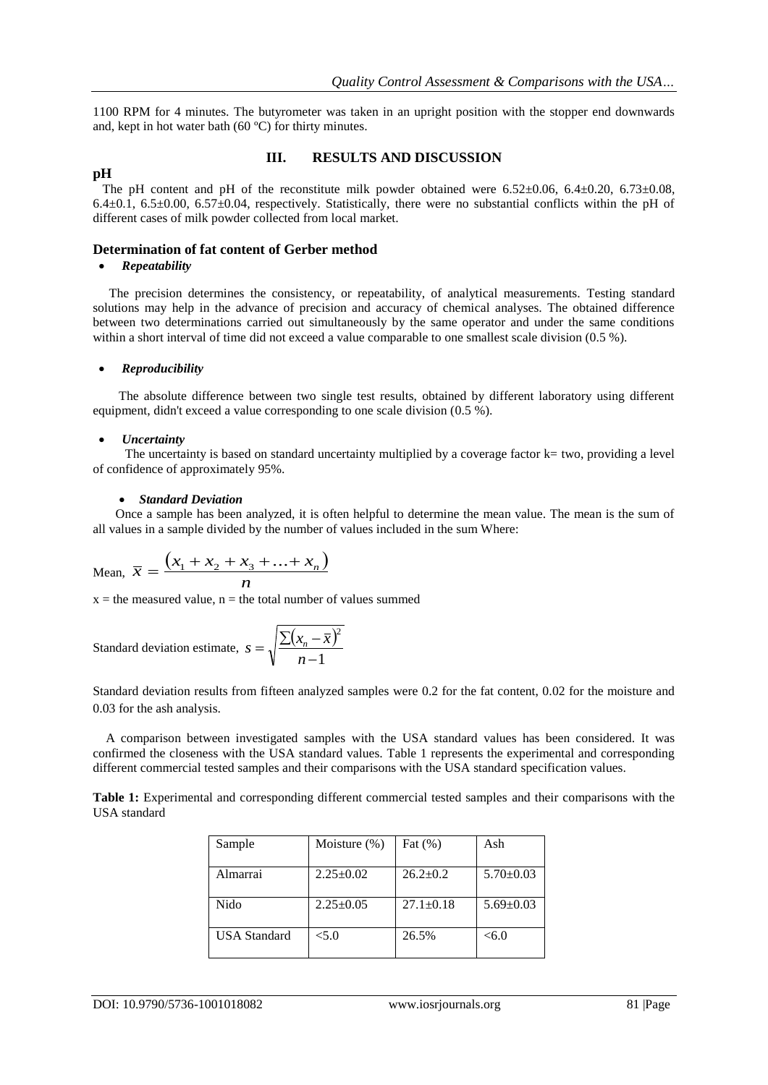1100 RPM for 4 minutes. The butyrometer was taken in an upright position with the stopper end downwards and, kept in hot water bath (60 ºC) for thirty minutes.

#### **pH**

## **III. RESULTS AND DISCUSSION**

The pH content and pH of the reconstitute milk powder obtained were 6.52±0.06, 6.4±0.20, 6.73±0.08, 6.4 $\pm$ 0.1, 6.5 $\pm$ 0.00, 6.57 $\pm$ 0.04, respectively. Statistically, there were no substantial conflicts within the pH of different cases of milk powder collected from local market.

#### **Determination of fat content of Gerber method**

#### *Repeatability*

 The precision determines the consistency, or repeatability, of analytical measurements. Testing standard solutions may help in the advance of precision and accuracy of chemical analyses. The obtained difference between two determinations carried out simultaneously by the same operator and under the same conditions within a short interval of time did not exceed a value comparable to one smallest scale division (0.5 %).

#### *Reproducibility*

 The absolute difference between two single test results, obtained by different laboratory using different equipment, didn't exceed a value corresponding to one scale division (0.5 %).

#### *Uncertainty*

The uncertainty is based on standard uncertainty multiplied by a coverage factor  $k$  = two, providing a level of confidence of approximately 95%.

#### *Standard Deviation*

 Once a sample has been analyzed, it is often helpful to determine the mean value. The mean is the sum of all values in a sample divided by the number of values included in the sum Where:

Mean, 
$$
\bar{x} = \frac{(x_1 + x_2 + x_3 + \dots + x_n)}{n}
$$

 $x =$  the measured value,  $n =$  the total number of values summed

Standard deviation estimate, 
$$
s = \sqrt{\frac{\sum (x_n - \overline{x})^2}{n-1}}
$$

Standard deviation results from fifteen analyzed samples were 0.2 for the fat content, 0.02 for the moisture and 0.03 for the ash analysis.

 A comparison between investigated samples with the USA standard values has been considered. It was confirmed the closeness with the USA standard values. Table 1 represents the experimental and corresponding different commercial tested samples and their comparisons with the USA standard specification values.

**Table 1:** Experimental and corresponding different commercial tested samples and their comparisons with the USA standard

| Sample              | Moisture $(\%)$ | Fat $(\%)$      | Ash             |
|---------------------|-----------------|-----------------|-----------------|
| Almarrai            | $2.25 \pm 0.02$ | $26.2+0.2$      | $5.70 \pm 0.03$ |
| Nido                | $2.25 \pm 0.05$ | $27.1 \pm 0.18$ | $5.69 \pm 0.03$ |
| <b>USA</b> Standard | < 5.0           | 26.5%           | <6.0            |